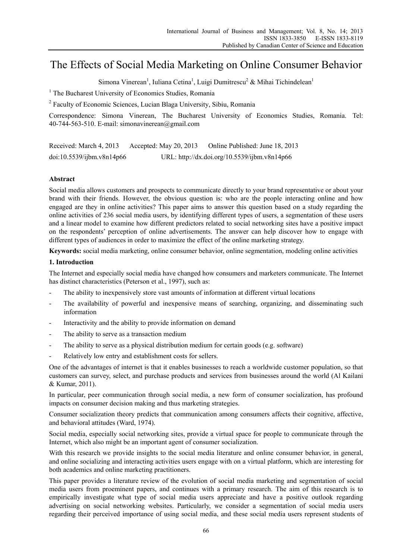# The Effects of Social Media Marketing on Online Consumer Behavior

Simona Vinerean<sup>1</sup>, Iuliana Cetina<sup>1</sup>, Luigi Dumitrescu<sup>2</sup> & Mihai Tichindelean<sup>1</sup>

<sup>1</sup> The Bucharest University of Economics Studies, Romania

<sup>2</sup> Faculty of Economic Sciences, Lucian Blaga University, Sibiu, Romania

Correspondence: Simona Vinerean, The Bucharest University of Economics Studies, Romania. Tel: 40-744-563-510. E-mail: simonavinerean@gmail.com

Received: March 4, 2013 Accepted: May 20, 2013 Online Published: June 18, 2013 doi:10.5539/ijbm.v8n14p66 URL: http://dx.doi.org/10.5539/ijbm.v8n14p66

# **Abstract**

Social media allows customers and prospects to communicate directly to your brand representative or about your brand with their friends. However, the obvious question is: who are the people interacting online and how engaged are they in online activities? This paper aims to answer this question based on a study regarding the online activities of 236 social media users, by identifying different types of users, a segmentation of these users and a linear model to examine how different predictors related to social networking sites have a positive impact on the respondents' perception of online advertisements. The answer can help discover how to engage with different types of audiences in order to maximize the effect of the online marketing strategy.

**Keywords:** social media marketing, online consumer behavior, online segmentation, modeling online activities

# **1. Introduction**

The Internet and especially social media have changed how consumers and marketers communicate. The Internet has distinct characteristics (Peterson et al., 1997), such as:

- The ability to inexpensively store vast amounts of information at different virtual locations
- The availability of powerful and inexpensive means of searching, organizing, and disseminating such information
- Interactivity and the ability to provide information on demand
- The ability to serve as a transaction medium
- The ability to serve as a physical distribution medium for certain goods (e.g. software)
- Relatively low entry and establishment costs for sellers.

One of the advantages of internet is that it enables businesses to reach a worldwide customer population, so that customers can survey, select, and purchase products and services from businesses around the world (Al Kailani & Kumar, 2011).

In particular, peer communication through social media, a new form of consumer socialization, has profound impacts on consumer decision making and thus marketing strategies.

Consumer socialization theory predicts that communication among consumers affects their cognitive, affective, and behavioral attitudes (Ward, 1974).

Social media, especially social networking sites, provide a virtual space for people to communicate through the Internet, which also might be an important agent of consumer socialization.

With this research we provide insights to the social media literature and online consumer behavior, in general, and online socializing and interacting activities users engage with on a virtual platform, which are interesting for both academics and online marketing practitioners.

This paper provides a literature review of the evolution of social media marketing and segmentation of social media users from proeminent papers, and continues with a primary research. The aim of this research is to empirically investigate what type of social media users appreciate and have a positive outlook regarding advertising on social networking websites. Particularly, we consider a segmentation of social media users regarding their perceived importance of using social media, and these social media users represent students of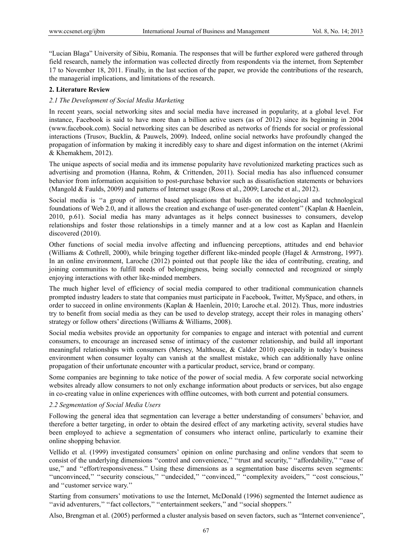"Lucian Blaga" University of Sibiu, Romania. The responses that will be further explored were gathered through field research, namely the information was collected directly from respondents via the internet, from September 17 to November 18, 2011. Finally, in the last section of the paper, we provide the contributions of the research, the managerial implications, and limitations of the research.

## **2. Literature Review**

## *2.1 The Development of Social Media Marketing*

In recent years, social networking sites and social media have increased in popularity, at a global level. For instance, Facebook is said to have more than a billion active users (as of 2012) since its beginning in 2004 (www.facebook.com). Social networking sites can be described as networks of friends for social or professional interactions (Trusov, Bucklin, & Pauwels, 2009). Indeed, online social networks have profoundly changed the propagation of information by making it incredibly easy to share and digest information on the internet (Akrimi & Khemakhem, 2012).

The unique aspects of social media and its immense popularity have revolutionized marketing practices such as advertising and promotion (Hanna, Rohm, & Crittenden, 2011). Social media has also influenced consumer behavior from information acquisition to post-purchase behavior such as dissatisfaction statements or behaviors (Mangold & Faulds, 2009) and patterns of Internet usage (Ross et al., 2009; Laroche et al., 2012).

Social media is "a group of internet based applications that builds on the ideological and technological foundations of Web 2.0, and it allows the creation and exchange of user-generated content'' (Kaplan & Haenlein, 2010, p.61). Social media has many advantages as it helps connect businesses to consumers, develop relationships and foster those relationships in a timely manner and at a low cost as Kaplan and Haenlein discovered (2010).

Other functions of social media involve affecting and influencing perceptions, attitudes and end behavior (Williams & Cothrell, 2000), while bringing together different like-minded people (Hagel & Armstrong, 1997). In an online environment, Laroche (2012) pointed out that people like the idea of contributing, creating, and joining communities to fulfill needs of belongingness, being socially connected and recognized or simply enjoying interactions with other like-minded members.

The much higher level of efficiency of social media compared to other traditional communication channels prompted industry leaders to state that companies must participate in Facebook, Twitter, MySpace, and others, in order to succeed in online environments (Kaplan & Haenlein, 2010; Laroche et.al. 2012). Thus, more industries try to benefit from social media as they can be used to develop strategy, accept their roles in managing others' strategy or follow others' directions (Williams & Williams, 2008).

Social media websites provide an opportunity for companies to engage and interact with potential and current consumers, to encourage an increased sense of intimacy of the customer relationship, and build all important meaningful relationships with consumers (Mersey, Malthouse, & Calder 2010) especially in today's business environment when consumer loyalty can vanish at the smallest mistake, which can additionally have online propagation of their unfortunate encounter with a particular product, service, brand or company.

Some companies are beginning to take notice of the power of social media. A few corporate social networking websites already allow consumers to not only exchange information about products or services, but also engage in co-creating value in online experiences with offline outcomes, with both current and potential consumers.

#### *2.2 Segmentation of Social Media Users*

Following the general idea that segmentation can leverage a better understanding of consumers' behavior, and therefore a better targeting, in order to obtain the desired effect of any marketing activity, several studies have been employed to achieve a segmentation of consumers who interact online, particularly to examine their online shopping behavior.

Vellido et al. (1999) investigated consumers' opinion on online purchasing and online vendors that seem to consist of the underlying dimensions "control and convenience," "trust and security," "affordability," "ease of use," and "effort/responsiveness." Using these dimensions as a segmentation base discerns seven segments: ''unconvinced,'' ''security conscious,'' ''undecided,'' ''convinced,'' ''complexity avoiders,'' ''cost conscious,'' and ''customer service wary.''

Starting from consumers' motivations to use the Internet, McDonald (1996) segmented the Internet audience as "avid adventurers," "fact collectors," "entertainment seekers," and "social shoppers."

Also, Brengman et al. (2005) performed a cluster analysis based on seven factors, such as "Internet convenience",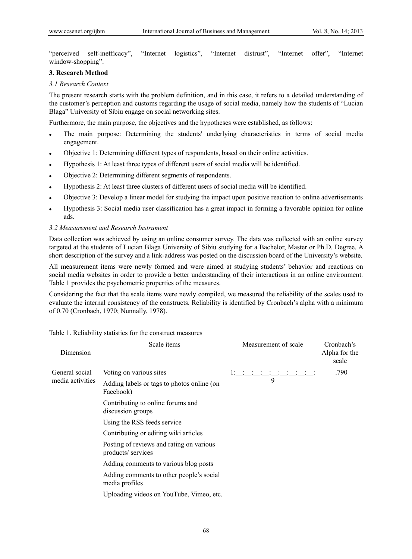"perceived self-inefficacy", "Internet logistics", "Internet distrust", "Internet offer", "Internet window-shopping".

## **3. Research Method**

## *3.1 Research Context*

The present research starts with the problem definition, and in this case, it refers to a detailed understanding of the customer's perception and customs regarding the usage of social media, namely how the students of "Lucian Blaga" University of Sibiu engage on social networking sites.

Furthermore, the main purpose, the objectives and the hypotheses were established, as follows:

- The main purpose: Determining the students' underlying characteristics in terms of social media engagement.
- Objective 1: Determining different types of respondents, based on their online activities.
- Hypothesis 1: At least three types of different users of social media will be identified.
- Objective 2: Determining different segments of respondents.
- Hypothesis 2: At least three clusters of different users of social media will be identified.
- Objective 3: Develop a linear model for studying the impact upon positive reaction to online advertisements
- Hypothesis 3: Social media user classification has a great impact in forming a favorable opinion for online ads.

## *3.2 Measurement and Research Instrument*

Data collection was achieved by using an online consumer survey. The data was collected with an online survey targeted at the students of Lucian Blaga University of Sibiu studying for a Bachelor, Master or Ph.D. Degree. A short description of the survey and a link-address was posted on the discussion board of the University's website.

All measurement items were newly formed and were aimed at studying students' behavior and reactions on social media websites in order to provide a better understanding of their interactions in an online environment. Table 1 provides the psychometric properties of the measures.

Considering the fact that the scale items were newly compiled, we measured the reliability of the scales used to evaluate the internal consistency of the constructs. Reliability is identified by Cronbach's alpha with a minimum of 0.70 (Cronbach, 1970; Nunnally, 1978).

| Dimension        | Scale items                                                    | Measurement of scale                                                                                                                                                                                                                                                                                                                                                                                                                          | Cronbach's<br>Alpha for the<br>scale |
|------------------|----------------------------------------------------------------|-----------------------------------------------------------------------------------------------------------------------------------------------------------------------------------------------------------------------------------------------------------------------------------------------------------------------------------------------------------------------------------------------------------------------------------------------|--------------------------------------|
| General social   | Voting on various sites                                        | $\mathbf{1}_{\{1,\ldots,1,\ldots,1,\ldots,1,\ldots,1,\ldots,1,\ldots,1\}}\in\mathbb{C}^{n}\times\mathbb{C}^{n}\times\mathbb{C}^{n}\times\mathbb{C}^{n}\times\mathbb{C}^{n}\times\mathbb{C}^{n}\times\mathbb{C}^{n}\times\mathbb{C}^{n}\times\mathbb{C}^{n}\times\mathbb{C}^{n}\times\mathbb{C}^{n}\times\mathbb{C}^{n}\times\mathbb{C}^{n}\times\mathbb{C}^{n}\times\mathbb{C}^{n}\times\mathbb{C}^{n}\times\mathbb{C}^{n}\times\mathbb{C}^{$ | .790                                 |
| media activities | Adding labels or tags to photos online (on<br>Facebook)        | $\mathbf{Q}$                                                                                                                                                                                                                                                                                                                                                                                                                                  |                                      |
|                  | Contributing to online forums and<br>discussion groups         |                                                                                                                                                                                                                                                                                                                                                                                                                                               |                                      |
|                  | Using the RSS feeds service                                    |                                                                                                                                                                                                                                                                                                                                                                                                                                               |                                      |
|                  | Contributing or editing wiki articles                          |                                                                                                                                                                                                                                                                                                                                                                                                                                               |                                      |
|                  | Posting of reviews and rating on various<br>products/ services |                                                                                                                                                                                                                                                                                                                                                                                                                                               |                                      |
|                  | Adding comments to various blog posts                          |                                                                                                                                                                                                                                                                                                                                                                                                                                               |                                      |
|                  | Adding comments to other people's social<br>media profiles     |                                                                                                                                                                                                                                                                                                                                                                                                                                               |                                      |
|                  | Uploading videos on YouTube, Vimeo, etc.                       |                                                                                                                                                                                                                                                                                                                                                                                                                                               |                                      |

#### Table 1. Reliability statistics for the construct measures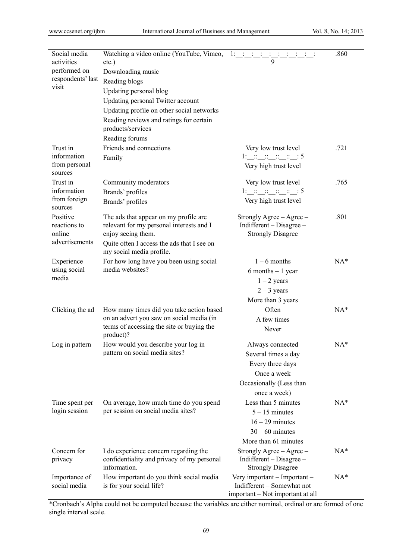| Social media<br>activities      | Watching a video online (YouTube, Vimeo,<br>$etc.$ )                         | 1: 1: 1: 1<br>$\overline{9}$                                                                                                                                                                                                                                                                                           | .860  |
|---------------------------------|------------------------------------------------------------------------------|------------------------------------------------------------------------------------------------------------------------------------------------------------------------------------------------------------------------------------------------------------------------------------------------------------------------|-------|
| performed on                    | Downloading music                                                            |                                                                                                                                                                                                                                                                                                                        |       |
| respondents' last               | Reading blogs                                                                |                                                                                                                                                                                                                                                                                                                        |       |
| visit                           | Updating personal blog                                                       |                                                                                                                                                                                                                                                                                                                        |       |
|                                 | Updating personal Twitter account                                            |                                                                                                                                                                                                                                                                                                                        |       |
|                                 | Updating profile on other social networks                                    |                                                                                                                                                                                                                                                                                                                        |       |
|                                 | Reading reviews and ratings for certain                                      |                                                                                                                                                                                                                                                                                                                        |       |
|                                 | products/services                                                            |                                                                                                                                                                                                                                                                                                                        |       |
|                                 | Reading forums                                                               |                                                                                                                                                                                                                                                                                                                        |       |
| Trust in                        | Friends and connections                                                      | Very low trust level                                                                                                                                                                                                                                                                                                   | .721  |
| information                     | Family                                                                       | $1:$ $\frac{1}{2}$ $\frac{1}{2}$ $\frac{1}{2}$ $\frac{1}{2}$ $\frac{1}{2}$ $\frac{1}{2}$ $\frac{1}{2}$ $\frac{1}{2}$ $\frac{1}{2}$ $\frac{1}{2}$ $\frac{1}{2}$ $\frac{1}{2}$ $\frac{1}{2}$ $\frac{1}{2}$ $\frac{1}{2}$ $\frac{1}{2}$ $\frac{1}{2}$ $\frac{1}{2}$ $\frac{1}{2}$ $\frac{1}{2}$ $\frac{1}{2}$ $\frac{1}{$ |       |
| from personal                   |                                                                              | Very high trust level                                                                                                                                                                                                                                                                                                  |       |
| sources                         |                                                                              |                                                                                                                                                                                                                                                                                                                        |       |
| Trust in                        | Community moderators                                                         | Very low trust level                                                                                                                                                                                                                                                                                                   | .765  |
| information                     | Brands' profiles                                                             | $1:$ $\frac{1}{2}:$ $\frac{1}{2}:$ $\frac{1}{2}:$ $\frac{1}{2}:$ $\frac{1}{2}:$ $\frac{1}{2}:$ $\frac{1}{2}:$ $\frac{1}{2}:$ $\frac{1}{2}:$ $\frac{1}{2}:$                                                                                                                                                             |       |
| from foreign<br>sources         | Brands' profiles                                                             | Very high trust level                                                                                                                                                                                                                                                                                                  |       |
| Positive                        | The ads that appear on my profile are                                        | Strongly Agree - Agree -                                                                                                                                                                                                                                                                                               | .801  |
| reactions to                    | relevant for my personal interests and I                                     | $Indifferent-Disagree -$                                                                                                                                                                                                                                                                                               |       |
| online                          | enjoy seeing them.                                                           | <b>Strongly Disagree</b>                                                                                                                                                                                                                                                                                               |       |
| advertisements                  | Quite often I access the ads that I see on<br>my social media profile.       |                                                                                                                                                                                                                                                                                                                        |       |
| Experience                      | For how long have you been using social                                      | $1 - 6$ months                                                                                                                                                                                                                                                                                                         | $NA*$ |
| using social                    | media websites?                                                              | $6$ months $-1$ year                                                                                                                                                                                                                                                                                                   |       |
| media                           |                                                                              | $1 - 2$ years                                                                                                                                                                                                                                                                                                          |       |
|                                 |                                                                              | $2 - 3$ years                                                                                                                                                                                                                                                                                                          |       |
|                                 |                                                                              | More than 3 years                                                                                                                                                                                                                                                                                                      |       |
| Clicking the ad                 | How many times did you take action based                                     | Often                                                                                                                                                                                                                                                                                                                  | $NA*$ |
|                                 | on an advert you saw on social media (in                                     | A few times                                                                                                                                                                                                                                                                                                            |       |
|                                 | terms of accessing the site or buying the                                    | Never                                                                                                                                                                                                                                                                                                                  |       |
| Log in pattern                  | product)?<br>How would you describe your log in                              | Always connected                                                                                                                                                                                                                                                                                                       | $NA*$ |
|                                 | pattern on social media sites?                                               | Several times a day                                                                                                                                                                                                                                                                                                    |       |
|                                 |                                                                              | Every three days                                                                                                                                                                                                                                                                                                       |       |
|                                 |                                                                              | Once a week                                                                                                                                                                                                                                                                                                            |       |
|                                 |                                                                              |                                                                                                                                                                                                                                                                                                                        |       |
|                                 |                                                                              | Occasionally (Less than<br>once a week)                                                                                                                                                                                                                                                                                |       |
|                                 |                                                                              |                                                                                                                                                                                                                                                                                                                        |       |
| Time spent per<br>login session | On average, how much time do you spend<br>per session on social media sites? | Less than 5 minutes                                                                                                                                                                                                                                                                                                    | $NA*$ |
|                                 |                                                                              | $5 - 15$ minutes                                                                                                                                                                                                                                                                                                       |       |
|                                 |                                                                              | $16 - 29$ minutes                                                                                                                                                                                                                                                                                                      |       |
|                                 |                                                                              | $30 - 60$ minutes                                                                                                                                                                                                                                                                                                      |       |
|                                 |                                                                              | More than 61 minutes                                                                                                                                                                                                                                                                                                   |       |
| Concern for                     | I do experience concern regarding the                                        | Strongly Agree - Agree -                                                                                                                                                                                                                                                                                               | $NA*$ |
| privacy                         | confidentiality and privacy of my personal<br>information.                   | Indifferent – Disagree –<br><b>Strongly Disagree</b>                                                                                                                                                                                                                                                                   |       |
|                                 | How important do you think social media                                      | Very important - Important -                                                                                                                                                                                                                                                                                           | $NA*$ |
| Importance of<br>social media   | is for your social life?                                                     | Indifferent - Somewhat not                                                                                                                                                                                                                                                                                             |       |
|                                 |                                                                              | important - Not important at all                                                                                                                                                                                                                                                                                       |       |

\*Cronbach's Alpha could not be computed because the variables are either nominal, ordinal or are formed of one single interval scale.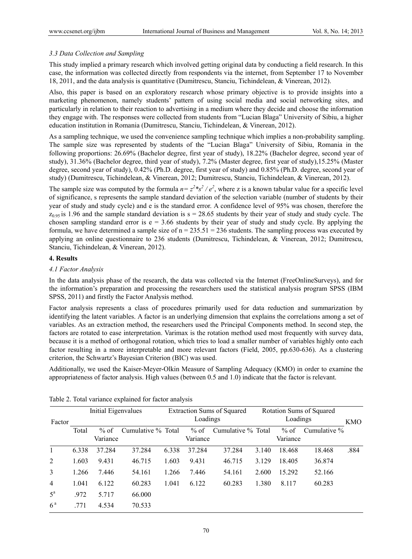# *3.3 Data Collection and Sampling*

This study implied a primary research which involved getting original data by conducting a field research. In this case, the information was collected directly from respondents via the internet, from September 17 to November 18, 2011, and the data analysis is quantitative (Dumitrescu, Stanciu, Tichindelean, & Vinerean, 2012).

Also, this paper is based on an exploratory research whose primary objective is to provide insights into a marketing phenomenon, namely students' pattern of using social media and social networking sites, and particularly in relation to their reaction to advertising in a medium where they decide and choose the information they engage with. The responses were collected from students from "Lucian Blaga" University of Sibiu, a higher education institution in Romania (Dumitrescu, Stanciu, Tichindelean, & Vinerean, 2012).

As a sampling technique, we used the convenience sampling technique which implies a non-probability sampling. The sample size was represented by students of the "Lucian Blaga" University of Sibiu, Romania in the following proportions: 26.69% (Bachelor degree, first year of study), 18.22% (Bachelor degree, second year of study), 31.36% (Bachelor degree, third year of study), 7.2% (Master degree, first year of study),15.25% (Master degree, second year of study), 0.42% (Ph.D. degree, first year of study) and 0.85% (Ph.D. degree, second year of study) (Dumitrescu, Tichindelean, & Vinerean, 2012; Dumitrescu, Stanciu, Tichindelean, & Vinerean, 2012).

The sample size was computed by the formula  $n=z^2*s^2/e^2$ , where z is a known tabular value for a specific level of significance, s represents the sample standard deviation of the selection variable (number of students by their year of study and study cycle) and e is the standard error. A confidence level of 95% was chosen, therefore the  $z_{0.95}$  is 1.96 and the sample standard deviation is  $s = 28.65$  students by their year of study and study cycle. The chosen sampling standard error is  $e = 3.66$  students by their year of study and study cycle. By applying the formula, we have determined a sample size of  $n = 235.51 = 236$  students. The sampling process was executed by applying an online questionnaire to 236 students (Dumitrescu, Tichindelean, & Vinerean, 2012; Dumitrescu, Stanciu, Tichindelean, & Vinerean, 2012).

# **4. Results**

## *4.1 Factor Analysis*

In the data analysis phase of the research, the data was collected via the Internet (FreeOnlineSurveys), and for the information's preparation and processing the researchers used the statistical analysis program SPSS (IBM SPSS, 2011) and firstly the Factor Analysis method.

Factor analysis represents a class of procedures primarily used for data reduction and summarization by identifying the latent variables. A factor is an underlying dimension that explains the correlations among a set of variables. As an extraction method, the researchers used the Principal Components method. In second step, the factors are rotated to ease interpretation. Varimax is the rotation method used most frequently with survey data, because it is a method of orthogonal rotation, which tries to load a smaller number of variables highly onto each factor resulting in a more interpretable and more relevant factors (Field, 2005, pp.630-636). As a clustering criterion, the Schwartz's Bayesian Criterion (BIC) was used.

Additionally, we used the Kaiser-Meyer-Olkin Measure of Sampling Adequacy (KMO) in order to examine the appropriateness of factor analysis. High values (between 0.5 and 1.0) indicate that the factor is relevant.

|                |       | Initial Eigenvalues |                    |       |          | <b>Extraction Sums of Squared</b> |       | Rotation Sums of Squared |              |      |
|----------------|-------|---------------------|--------------------|-------|----------|-----------------------------------|-------|--------------------------|--------------|------|
| Factor         |       |                     |                    |       | Loadings |                                   |       | Loadings                 |              | KMO  |
|                | Total | $%$ of              | Cumulative % Total |       | $%$ of   | Cumulative % Total                |       | $%$ of                   | Cumulative % |      |
|                |       | Variance            |                    |       | Variance |                                   |       | Variance                 |              |      |
| 1              | 6.338 | 37.284              | 37.284             | 6.338 | 37.284   | 37.284                            | 3.140 | 18.468                   | 18.468       | .884 |
| 2              | 1.603 | 9.431               | 46.715             | 1.603 | 9.431    | 46.715                            | 3.129 | 18.405                   | 36.874       |      |
| 3              | 1.266 | 7.446               | 54.161             | 1.266 | 7.446    | 54.161                            | 2.600 | 15.292                   | 52.166       |      |
| $\overline{4}$ | 1.041 | 6.122               | 60.283             | 1.041 | 6.122    | 60.283                            | 1.380 | 8.117                    | 60.283       |      |
| $5^{\rm a}$    | .972  | 5.717               | 66.000             |       |          |                                   |       |                          |              |      |
| 6 <sup>a</sup> | .771  | 4.534               | 70.533             |       |          |                                   |       |                          |              |      |

Table 2. Total variance explained for factor analysis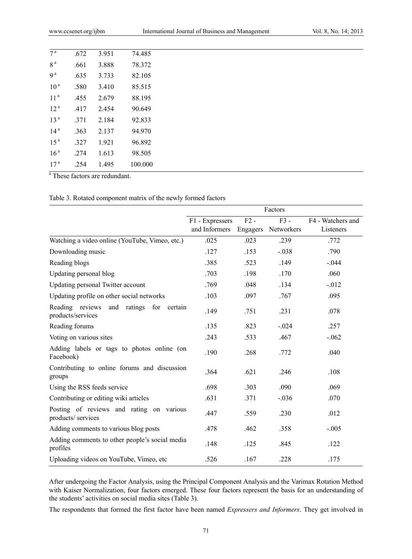| 7 <sup>a</sup>  | .672 | 3.951 | 74.485  |
|-----------------|------|-------|---------|
| 8 <sup>a</sup>  | .661 | 3.888 | 78.372  |
| 9 <sup>a</sup>  | .635 | 3.733 | 82.105  |
| 10 <sup>a</sup> | .580 | 3.410 | 85.515  |
| 11 <sup>a</sup> | .455 | 2.679 | 88.195  |
| 12 <sup>a</sup> | .417 | 2.454 | 90.649  |
| 13 <sup>a</sup> | .371 | 2.184 | 92.833  |
| 14 <sup>a</sup> | .363 | 2.137 | 94.970  |
| 15 <sup>a</sup> | .327 | 1.921 | 96.892  |
| 16 <sup>a</sup> | 274  | 1.613 | 98.505  |
| 17 <sup>a</sup> | 254  | 1.495 | 100.000 |

<sup>a</sup> These factors are redundant.

|  | Table 3. Rotated component matrix of the newly formed factors |  |  |  |
|--|---------------------------------------------------------------|--|--|--|
|  |                                                               |  |  |  |

|                                                                       | Factors         |          |            |                   |  |  |
|-----------------------------------------------------------------------|-----------------|----------|------------|-------------------|--|--|
|                                                                       | F1 - Expressers | $F2 -$   | $F3 -$     | F4 - Watchers and |  |  |
|                                                                       | and Informers   | Engagers | Networkers | Listeners         |  |  |
| Watching a video online (YouTube, Vimeo, etc.)                        | .025            | .023     | .239       | .772              |  |  |
| Downloading music                                                     | .127            | .153     | $-.038$    | .790              |  |  |
| Reading blogs                                                         | .385            | .523     | .149       | $-.044$           |  |  |
| Updating personal blog                                                | .703            | .198     | .170       | .060              |  |  |
| <b>Updating personal Twitter account</b>                              | .769            | .048     | .134       | $-0.012$          |  |  |
| Updating profile on other social networks                             | .103            | .097     | .767       | .095              |  |  |
| Reading reviews<br>and ratings<br>for<br>certain<br>products/services | .149            | .751     | .231       | .078              |  |  |
| Reading forums                                                        | .135            | .823     | $-.024$    | .257              |  |  |
| Voting on various sites                                               | .243            | .533     | .467       | $-.062$           |  |  |
| Adding labels or tags to photos online (on<br>Facebook)               | .190            | .268     | .772       | .040              |  |  |
| Contributing to online forums and discussion<br>groups                | .364            | .621     | .246       | .108              |  |  |
| Using the RSS feeds service                                           | .698            | .303     | .090       | .069              |  |  |
| Contributing or editing wiki articles                                 | .631            | .371     | $-0.036$   | .070              |  |  |
| Posting of reviews and rating on various<br>products/ services        | .447            | .559     | .230       | .012              |  |  |
| Adding comments to various blog posts                                 | .478            | .462     | .358       | $-.005$           |  |  |
| Adding comments to other people's social media<br>profiles            | .148            | .125     | .845       | .122              |  |  |
| Uploading videos on YouTube, Vimeo, etc                               | .526            | .167     | .228       | .175              |  |  |

After undergoing the Factor Analysis, using the Principal Component Analysis and the Varimax Rotation Method with Kaiser Normalization, four factors emerged. These four factors represent the basis for an understanding of the students' activities on social media sites (Table 3).

The respondents that formed the first factor have been named *Expressers and Informers*. They get involved in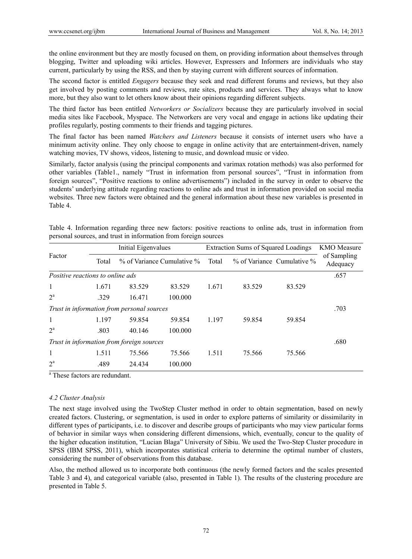the online environment but they are mostly focused on them, on providing information about themselves through blogging, Twitter and uploading wiki articles. However, Expressers and Informers are individuals who stay current, particularly by using the RSS, and then by staying current with different sources of information.

The second factor is entitled *Engagers* because they seek and read different forums and reviews, but they also get involved by posting comments and reviews, rate sites, products and services. They always what to know more, but they also want to let others know about their opinions regarding different subjects.

The third factor has been entitled *Networkers or Socializers* because they are particularly involved in social media sites like Facebook, Myspace. The Networkers are very vocal and engage in actions like updating their profiles regularly, posting comments to their friends and tagging pictures.

The final factor has been named *Watchers and Listeners* because it consists of internet users who have a minimum activity online. They only choose to engage in online activity that are entertainment-driven, namely watching movies, TV shows, videos, listening to music, and download music or video.

Similarly, factor analysis (using the principal components and varimax rotation methods) was also performed for other variables (Table1., namely "Trust in information from personal sources", "Trust in information from foreign sources", "Positive reactions to online advertisements") included in the survey in order to observe the students' underlying attitude regarding reactions to online ads and trust in information provided on social media websites. Three new factors were obtained and the general information about these new variables is presented in Table 4.

|                                           | Initial Eigenvalues |                                            |         |       | <b>Extraction Sums of Squared Loadings</b> | <b>KMO</b> Measure<br>of Sampling |      |
|-------------------------------------------|---------------------|--------------------------------------------|---------|-------|--------------------------------------------|-----------------------------------|------|
| Factor                                    | Total               | % of Variance Cumulative %                 |         | Total |                                            | % of Variance Cumulative %        |      |
| Positive reactions to online ads          |                     |                                            |         |       |                                            |                                   | .657 |
| 1                                         | 1.671               | 83.529                                     | 83.529  | 1.671 | 83.529                                     | 83.529                            |      |
| $2^{\rm a}$                               | .329                | 16.471                                     | 100.000 |       |                                            |                                   |      |
|                                           |                     | Trust in information from personal sources |         |       |                                            |                                   | .703 |
| 1                                         | 1.197               | 59.854                                     | 59.854  | 1.197 | 59.854                                     | 59.854                            |      |
| $2^{\rm a}$                               | .803                | 40.146                                     | 100.000 |       |                                            |                                   |      |
| Trust in information from foreign sources |                     |                                            |         |       |                                            |                                   | .680 |
| $\mathbf{1}$                              | 1.511               | 75.566                                     | 75.566  | 1.511 | 75.566                                     | 75.566                            |      |
| $2^{\mathrm{a}}$                          | .489                | 24.434                                     | 100.000 |       |                                            |                                   |      |

Table 4. Information regarding three new factors: positive reactions to online ads, trust in information from personal sources, and trust in information from foreign sources

<sup>a</sup> These factors are redundant.

#### *4.2 Cluster Analysis*

The next stage involved using the TwoStep Cluster method in order to obtain segmentation, based on newly created factors. Clustering, or segmentation, is used in order to explore patterns of similarity or dissimilarity in different types of participants, i.e. to discover and describe groups of participants who may view particular forms of behavior in similar ways when considering different dimensions, which, eventually, concur to the quality of the higher education institution, "Lucian Blaga" University of Sibiu. We used the Two-Step Cluster procedure in SPSS (IBM SPSS, 2011), which incorporates statistical criteria to determine the optimal number of clusters, considering the number of observations from this database.

Also, the method allowed us to incorporate both continuous (the newly formed factors and the scales presented Table 3 and 4), and categorical variable (also, presented in Table 1). The results of the clustering procedure are presented in Table 5.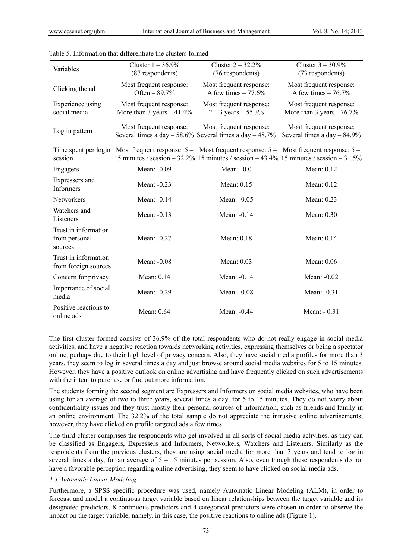| Variables                                        | Cluster $1 - 36.9%$<br>(87 respondents)                | Cluster $2 - 32.2%$<br>(76 respondents)                                                                                                                                                                  | Cluster $3 - 30.9\%$<br>(73 respondents)                 |
|--------------------------------------------------|--------------------------------------------------------|----------------------------------------------------------------------------------------------------------------------------------------------------------------------------------------------------------|----------------------------------------------------------|
| Clicking the ad                                  | Most frequent response:<br>Often - 89.7%               | Most frequent response:<br>A few times $-77.6\%$                                                                                                                                                         | Most frequent response:<br>A few times $-76.7\%$         |
| Experience using<br>social media                 | Most frequent response:<br>More than 3 years $-41.4\%$ | Most frequent response:<br>$2 - 3$ years $- 55.3\%$                                                                                                                                                      | Most frequent response:<br>More than 3 years - 76.7%     |
| Log in pattern                                   | Most frequent response:                                | Most frequent response:<br>Several times a day $-58.6\%$ Several times a day $-48.7\%$                                                                                                                   | Most frequent response:<br>Several times a day $-84.9\%$ |
| session                                          |                                                        | Time spent per login Most frequent response: 5 – Most frequent response: 5 – Most frequent response: 5 –<br>15 minutes / session $-32.2\%$ 15 minutes / session $-43.4\%$ 15 minutes / session $-31.5\%$ |                                                          |
| Engagers                                         | Mean: -0.09                                            | Mean: $-0.0$                                                                                                                                                                                             | Mean: 0.12                                               |
| Expressers and<br><b>Informers</b>               | Mean: -0.23                                            | Mean: 0.15                                                                                                                                                                                               | Mean: 0.12                                               |
| Networkers                                       | Mean: -0.14                                            | Mean: -0.05                                                                                                                                                                                              | Mean: 0.23                                               |
| Watchers and<br>Listeners                        | Mean: $-0.13$                                          | Mean: $-0.14$                                                                                                                                                                                            | Mean: 0.30                                               |
| Trust in information<br>from personal<br>sources | Mean: -0.27                                            | Mean: $0.18$                                                                                                                                                                                             | Mean: 0.14                                               |
| Trust in information<br>from foreign sources     | Mean: -0.08                                            | Mean: 0.03                                                                                                                                                                                               | Mean: 0.06                                               |
| Concern for privacy                              | Mean: 0.14                                             | Mean: -0.14                                                                                                                                                                                              | Mean: -0.02                                              |
| Importance of social<br>media                    | Mean: -0.29                                            | Mean: -0.08                                                                                                                                                                                              | Mean: -0.31                                              |
| Positive reactions to<br>online ads              | Mean: 0.64                                             | Mean: -0.44                                                                                                                                                                                              | Mean: - 0.31                                             |

## Table 5. Information that differentiate the clusters formed

The first cluster formed consists of 36.9% of the total respondents who do not really engage in social media activities, and have a negative reaction towards networking activities, expressing themselves or being a spectator online, perhaps due to their high level of privacy concern. Also, they have social media profiles for more than 3 years, they seem to log in several times a day and just browse around social media websites for 5 to 15 minutes. However, they have a positive outlook on online advertising and have frequently clicked on such advertisements with the intent to purchase or find out more information.

The students forming the second segment are Expressers and Informers on social media websites, who have been using for an average of two to three years, several times a day, for 5 to 15 minutes. They do not worry about confidentiality issues and they trust mostly their personal sources of information, such as friends and family in an online environment. The 32.2% of the total sample do not appreciate the intrusive online advertisements; however, they have clicked on profile targeted ads a few times.

The third cluster comprises the respondents who get involved in all sorts of social media activities, as they can be classified as Engagers, Expressers and Informers, Networkers, Watchers and Listeners. Similarly as the respondents from the previous clusters, they are using social media for more than 3 years and tend to log in several times a day, for an average of  $5 - 15$  minutes per session. Also, even though these respondents do not have a favorable perception regarding online advertising, they seem to have clicked on social media ads.

# *4.3 Automatic Linear Modeling*

Furthermore, a SPSS specific procedure was used, namely Automatic Linear Modeling (ALM), in order to forecast and model a continuous target variable based on linear relationships between the target variable and its designated predictors. 8 continuous predictors and 4 categorical predictors were chosen in order to observe the impact on the target variable, namely, in this case, the positive reactions to online ads (Figure 1).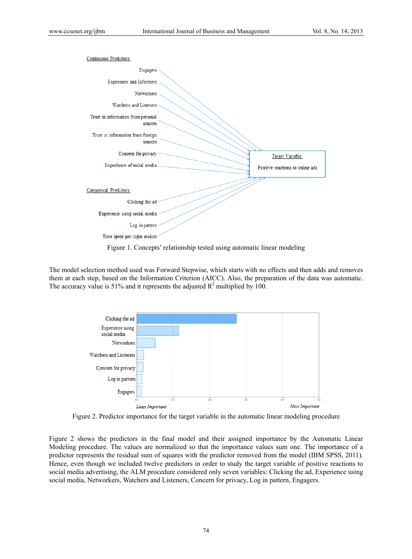

Figure 1. Concepts' relationship tested using automatic linear modeling

The model selection method used was Forward Stepwise, which starts with no effects and then adds and removes them at each step, based on the Information Criterion (AICC). Also, the preparation of the data was automatic. The accuracy value is 51% and it represents the adjusted  $R^2$  multiplied by 100.



Figure 2. Predictor importance for the target variable in the automatic linear modeling procedure

Figure 2 shows the predictors in the final model and their assigned importance by the Automatic Linear Modeling procedure. The values are normalized so that the importance values sum one. The importance of a predictor represents the residual sum of squares with the predictor removed from the model (IBM SPSS, 2011). Hence, even though we included twelve predictors in order to study the target variable of positive reactions to social media advertising, the ALM procedure considered only seven variables: Clicking the ad, Experience using social media, Networkers, Watchers and Listeners, Concern for privacy, Log in pattern, Engagers.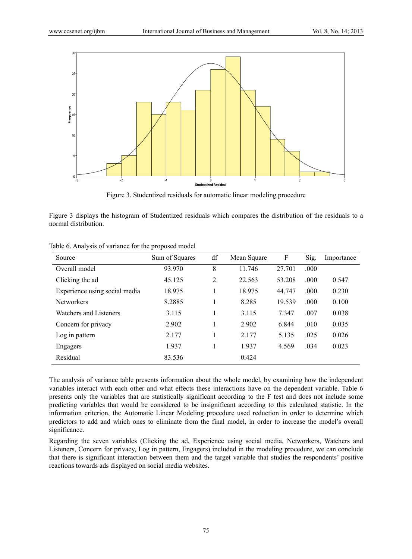

Figure 3. Studentized residuals for automatic linear modeling procedure

Figure 3 displays the histogram of Studentized residuals which compares the distribution of the residuals to a normal distribution.

| Source                        | df<br>Sum of Squares |                | Mean Square | F      | Sig. | Importance |
|-------------------------------|----------------------|----------------|-------------|--------|------|------------|
| Overall model                 | 93.970               | 8              | 11.746      | 27.701 | .000 |            |
| Clicking the ad               | 45.125               | $\overline{2}$ | 22.563      | 53.208 | .000 | 0.547      |
| Experience using social media | 18.975               |                | 18.975      | 44.747 | .000 | 0.230      |
| <b>Networkers</b>             | 8.2885               |                | 8.285       | 19.539 | .000 | 0.100      |
| Watchers and Listeners        | 3.115                |                | 3.115       | 7.347  | .007 | 0.038      |
| Concern for privacy           | 2.902                |                | 2.902       | 6.844  | .010 | 0.035      |
| Log in pattern                | 2.177                |                | 2.177       | 5.135  | .025 | 0.026      |
| Engagers                      | 1.937                | 1              | 1.937       | 4.569  | .034 | 0.023      |
| Residual                      | 83.536               |                | 0.424       |        |      |            |

Table 6. Analysis of variance for the proposed model

The analysis of variance table presents information about the whole model, by examining how the independent variables interact with each other and what effects these interactions have on the dependent variable. Table 6 presents only the variables that are statistically significant according to the F test and does not include some predicting variables that would be considered to be insignificant according to this calculated statistic. In the information criterion, the Automatic Linear Modeling procedure used reduction in order to determine which predictors to add and which ones to eliminate from the final model, in order to increase the model's overall significance.

Regarding the seven variables (Clicking the ad, Experience using social media, Networkers, Watchers and Listeners, Concern for privacy, Log in pattern, Engagers) included in the modeling procedure, we can conclude that there is significant interaction between them and the target variable that studies the respondents' positive reactions towards ads displayed on social media websites.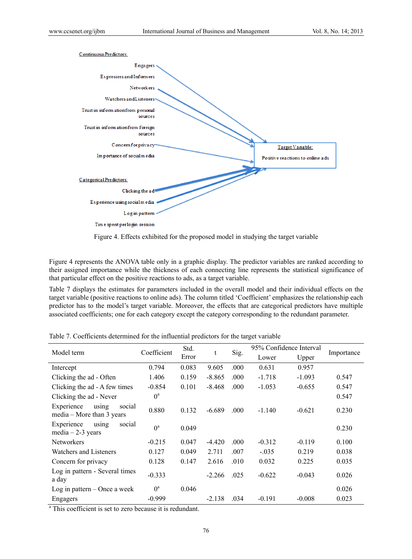



Figure 4 represents the ANOVA table only in a graphic display. The predictor variables are ranked according to their assigned importance while the thickness of each connecting line represents the statistical significance of that particular effect on the positive reactions to ads, as a target variable.

Table 7 displays the estimates for parameters included in the overall model and their individual effects on the target variable (positive reactions to online ads). The column titled 'Coefficient' emphasizes the relationship each predictor has to the model's target variable. Moreover, the effects that are categorical predictors have multiple associated coefficients; one for each category except the category corresponding to the redundant parameter.

| Model term                                                    | Coefficient | Std.  | t        |       | 95% Confidence Interval |          |            |
|---------------------------------------------------------------|-------------|-------|----------|-------|-------------------------|----------|------------|
|                                                               |             | Error |          | Sig.  | Lower                   | Upper    | Importance |
| Intercept                                                     | 0.794       | 0.083 | 9.605    | .000  | 0.631                   | 0.957    |            |
| Clicking the ad - Often                                       | 1.406       | 0.159 | $-8.865$ | .000  | $-1.718$                | $-1.093$ | 0.547      |
| Clicking the ad - A few times                                 | $-0.854$    | 0.101 | $-8.468$ | .000  | $-1.053$                | $-0.655$ | 0.547      |
| Clicking the ad - Never                                       | $0^a$       |       |          |       |                         |          | 0.547      |
| Experience<br>using<br>social<br>$median - More than 3 years$ | 0.880       | 0.132 | $-6.689$ | .000. | $-1.140$                | $-0.621$ | 0.230      |
| Experience<br>social<br>using<br>media $-2-3$ years           | $0^a$       | 0.049 |          |       |                         |          | 0.230      |
| <b>Networkers</b>                                             | $-0.215$    | 0.047 | $-4.420$ | .000  | $-0.312$                | $-0.119$ | 0.100      |
| Watchers and Listeners                                        | 0.127       | 0.049 | 2.711    | .007  | $-.035$                 | 0.219    | 0.038      |
| Concern for privacy                                           | 0.128       | 0.147 | 2.616    | .010  | 0.032                   | 0.225    | 0.035      |
| Log in pattern - Several times<br>a day                       | $-0.333$    |       | $-2.266$ | .025  | $-0.622$                | $-0.043$ | 0.026      |
| $Log in pattern - Once a week$                                | $0^a$       | 0.046 |          |       |                         |          | 0.026      |
| Engagers                                                      | $-0.999$    |       | $-2.138$ | .034  | $-0.191$                | $-0.008$ | 0.023      |

Table 7. Coefficients determined for the influential predictors for the target variable

<sup>a</sup> This coefficient is set to zero because it is redundant.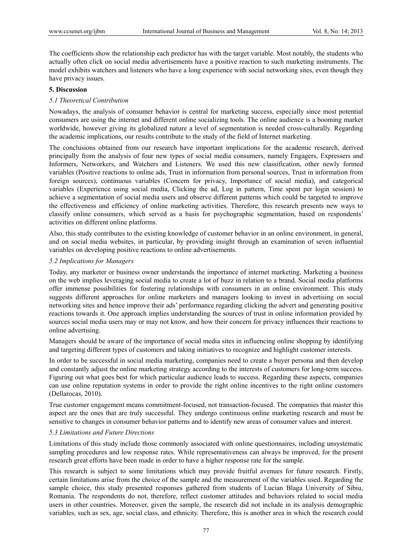The coefficients show the relationship each predictor has with the target variable. Most notably, the students who actually often click on social media advertisements have a positive reaction to such marketing instruments. The model exhibits watchers and listeners who have a long experience with social networking sites, even though they have privacy issues.

#### **5. Discussion**

## *5.1 Theoretical Contribution*

Nowadays, the analysis of consumer behavior is central for marketing success, especially since most potential consumers are using the internet and different online socializing tools. The online audience is a booming market worldwide, however giving its globalized nature a level of segmentation is needed cross-culturally. Regarding the academic implications, our results contribute to the study of the field of Internet marketing.

The conclusions obtained from our research have important implications for the academic research, derived principally from the analysis of four new types of social media consumers, namely Engagers, Expressers and Informers, Networkers, and Watchers and Listeners. We used this new classification, other newly formed variables (Positive reactions to online ads, Trust in information from personal sources, Trust in information from foreign sources), continuous variables (Concern for privacy, Importance of social media), and categorical variables (Experience using social media, Clicking the ad, Log in pattern, Time spent per login session) to achieve a segmentation of social media users and observe different patterns which could be targeted to improve the effectiveness and efficiency of online marketing activities. Therefore, this research presents new ways to classify online consumers, which served as a basis for psychographic segmentation, based on respondents' activities on different online platforms.

Also, this study contributes to the existing knowledge of customer behavior in an online environment, in general, and on social media websites, in particular, by providing insight through an examination of seven influential variables on developing positive reactions to online advertisements.

## *5.2 Implications for Managers*

Today, any marketer or business owner understands the importance of internet marketing. Marketing a business on the web implies leveraging social media to create a lot of buzz in relation to a brand. Social media platforms offer immense possibilities for fostering relationships with consumers in an online environment. This study suggests different approaches for online marketers and managers looking to invest in advertising on social networking sites and hence improve their ads' performance regarding clicking the advert and generating positive reactions towards it. One approach implies understanding the sources of trust in online information provided by sources social media users may or may not know, and how their concern for privacy influences their reactions to online advertising.

Managers should be aware of the importance of social media sites in influencing online shopping by identifying and targeting different types of customers and taking initiatives to recognize and highlight customer interests.

In order to be successful in social media marketing, companies need to create a buyer persona and then develop and constantly adjust the online marketing strategy according to the interests of customers for long-term success. Figuring out what goes best for which particular audience leads to success. Regarding these aspects, companies can use online reputation systems in order to provide the right online incentives to the right online customers (Dellarocas, 2010).

True customer engagement means commitment-focused, not transaction-focused. The companies that master this aspect are the ones that are truly successful. They undergo continuous online marketing research and must be sensitive to changes in consumer behavior patterns and to identify new areas of consumer values and interest.

## *5.3 Limitations and Future Directions*

Limitations of this study include those commonly associated with online questionnaires, including unsystematic sampling procedures and low response rates. While representativeness can always be improved, for the present research great efforts have been made in order to have a higher response rate for the sample.

This research is subject to some limitations which may provide fruitful avenues for future research. Firstly, certain limitations arise from the choice of the sample and the measurement of the variables used. Regarding the sample choice, this study presented responses gathered from students of Lucian Blaga University of Sibiu, Romania. The respondents do not, therefore, reflect customer attitudes and behaviors related to social media users in other countries. Moreover, given the sample, the research did not include in its analysis demographic variables, such as sex, age, social class, and ethnicity. Therefore, this is another area in which the research could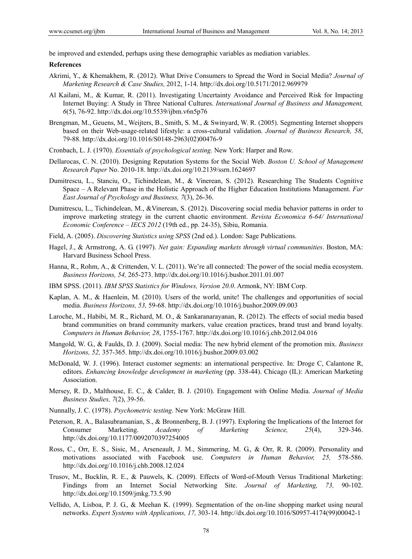be improved and extended, perhaps using these demographic variables as mediation variables.

#### **References**

- Akrimi, Y., & Khemakhem, R. (2012). What Drive Consumers to Spread the Word in Social Media? *Journal of Marketing Research & Case Studies,* 2012, 1-14. http://dx.doi.org/10.5171/2012.969979
- Al Kailani, M., & Kumar, R. (2011). Investigating Uncertainty Avoidance and Perceived Risk for Impacting Internet Buying: A Study in Three National Cultures. *International Journal of Business and Management, 6*(5), 76-92. http://dx.doi.org/10.5539/ijbm.v6n5p76
- Brengman, M., Geuens, M., Weijters, B., Smith, S. M., & Swinyard, W. R. (2005). Segmenting Internet shoppers based on their Web-usage-related lifestyle: a cross-cultural validation. *Journal of Business Research, 58*, 79-88. http://dx.doi.org/10.1016/S0148-2963(02)00476-9
- Cronbach, L. J. (1970). *Essentials of psychological testing*. New York: Harper and Row.
- Dellarocas, C. N. (2010). Designing Reputation Systems for the Social Web. *Boston U. School of Management Research Paper* No. 2010-18. http://dx.doi.org/10.2139/ssrn.1624697
- Dumitrescu, L., Stanciu, O., Tichindelean, M., & Vinerean, S. (2012). Researching The Students Cognitive Space – A Relevant Phase in the Holistic Approach of the Higher Education Institutions Management. *Far East Journal of Psychology and Business, 7*(3), 26-36.
- Dumitrescu, L., Tichindelean, M., &Vinerean, S. (2012). Discovering social media behavior patterns in order to improve marketing strategy in the current chaotic environment. *Revista Economica 6-64/ International Economic Conference – IECS 2012* (19th ed., pp. 24-35), Sibiu, Romania.
- Field, A. (2005). *Discovering Statistics using SPSS* (2nd ed.). London: Sage Publications.
- Hagel, J., & Armstrong, A. G. (1997). *Net gain: Expanding markets through virtual communities*. Boston, MA: Harvard Business School Press.
- Hanna, R., Rohm, A., & Crittenden, V. L. (2011). We're all connected: The power of the social media ecosystem. *Business Horizons, 54,* 265-273. http://dx.doi.org/10.1016/j.bushor.2011.01.007
- IBM SPSS. (2011). *IBM SPSS Statistics for Windows, Version 20.0*. Armonk, NY: IBM Corp.
- Kaplan, A. M., & Haenlein, M. (2010). Users of the world, unite! The challenges and opportunities of social media. *Business Horizons, 53,* 59-68. http://dx.doi.org/10.1016/j.bushor.2009.09.003
- Laroche, M., Habibi, M. R., Richard, M. O., & Sankaranarayanan, R. (2012). The effects of social media based brand communities on brand community markers, value creation practices, brand trust and brand loyalty. *Computers in Human Behavior, 28*, 1755-1767. http://dx.doi.org/10.1016/j.chb.2012.04.016
- Mangold, W. G., & Faulds, D. J. (2009). Social media: The new hybrid element of the promotion mix. *Business Horizons, 52,* 357-365. http://dx.doi.org/10.1016/j.bushor.2009.03.002
- McDonald, W. J. (1996). Interact customer segments: an international perspective. In: Droge C, Calantone R, editors. *Enhancing knowledge development in marketing* (pp. 338-44). Chicago (IL): American Marketing Association.
- Mersey, R. D., Malthouse, E. C., & Calder, B. J. (2010). Engagement with Online Media. *Journal of Media Business Studies, 7*(2), 39-56.
- Nunnally, J. C. (1978). *Psychometric testing*. New York: McGraw Hill.
- Peterson, R. A., Balasubramanian, S., & Bronnenberg, B. J. (1997). Exploring the Implications of the Internet for Consumer Marketing. *Academy of Marketing Science, 25*(4), 329-346. http://dx.doi.org/10.1177/0092070397254005
- Ross, C., Orr, E. S., Sisic, M., Arseneault, J. M., Simmering, M. G., & Orr, R. R. (2009). Personality and motivations associated with Facebook use. *Computers in Human Behavior, 25,* 578-586. http://dx.doi.org/10.1016/j.chb.2008.12.024
- Trusov, M., Bucklin, R. E., & Pauwels, K. (2009). Effects of Word-of-Mouth Versus Traditional Marketing: Findings from an Internet Social Networking Site. *Journal of Marketing, 73,* 90-102. http://dx.doi.org/10.1509/jmkg.73.5.90
- Vellido, A, Lisboa, P. J. G., & Meehan K. (1999). Segmentation of the on-line shopping market using neural networks. *Expert Systems with Applications, 17,* 303-14. http://dx.doi.org/10.1016/S0957-4174(99)00042-1